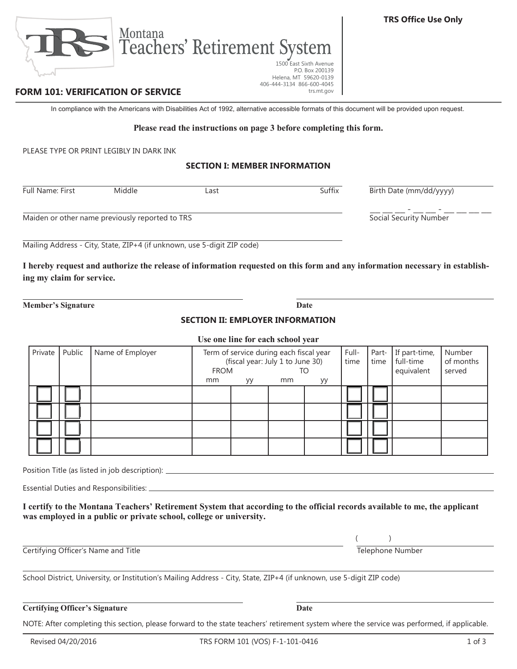$\bot$   $\bot$   $\bot$  -  $\bot$   $\bot$   $\bot$   $\bot$   $\bot$ 

NOTE: After completing this section, please forward to the state teachers' retirement system where the service was performed, if applicable.



Last **Full Suffix** Suffix Birth Date (mm/dd/yyyy)

## **FORM 101: VERIFICATION OF SERVICE**

In compliance with the Americans with Disabilities Act of 1992, alternative accessible formats of this document will be provided upon request.

#### **Please read the instructions on page 3 before completing this form.**

PLEASE TYPE OR PRINT LEGIBLY IN DARK INK

#### **SECTION I: MEMBER INFORMATION**

| <b>Full Name: First</b> | Middle |
|-------------------------|--------|
|                         |        |

Maiden or other name previously reported to TRS Social Security Number

Mailing Address - City, State, ZIP+4 (if unknown, use 5-digit ZIP code)

Montana

**I hereby request and authorize the release of information requested on this form and any information necessary in establishing my claim for service.**

**Member's Signature Date** 

### **SECTION II: EMPLOYER INFORMATION**

#### **Use one line for each school year**

| Private | Public | Name of Employer | Term of service during each fiscal year<br>(fiscal year: July 1 to June 30)<br><b>FROM</b><br>TO |    |    | Full-<br>time | Part-<br>time | If part-time,<br>full-time<br>equivalent | Number<br>of months<br>served |  |
|---------|--------|------------------|--------------------------------------------------------------------------------------------------|----|----|---------------|---------------|------------------------------------------|-------------------------------|--|
|         |        |                  | mm                                                                                               | уу | mm | уу            |               |                                          |                               |  |
|         |        |                  |                                                                                                  |    |    |               |               |                                          |                               |  |
|         |        |                  |                                                                                                  |    |    |               |               |                                          |                               |  |
|         |        |                  |                                                                                                  |    |    |               |               |                                          |                               |  |
|         |        |                  |                                                                                                  |    |    |               |               |                                          |                               |  |

Position Title (as listed in job description): \_\_\_\_\_\_\_\_\_\_\_\_\_\_\_\_\_\_\_\_\_\_\_\_\_\_\_\_\_\_\_\_\_

Essential Duties and Responsibilities:

**I certify to the Montana Teachers' Retirement System that according to the official records available to me, the applicant was employed in a public or private school, college or university.**

**Certifying Officer's Name and Title Telephone Number** Telephone Number

School District, University, or Institution's Mailing Address - City, State, ZIP+4 (if unknown, use 5-digit ZIP code)

## **Certifying Officer's Signature Date**

 $($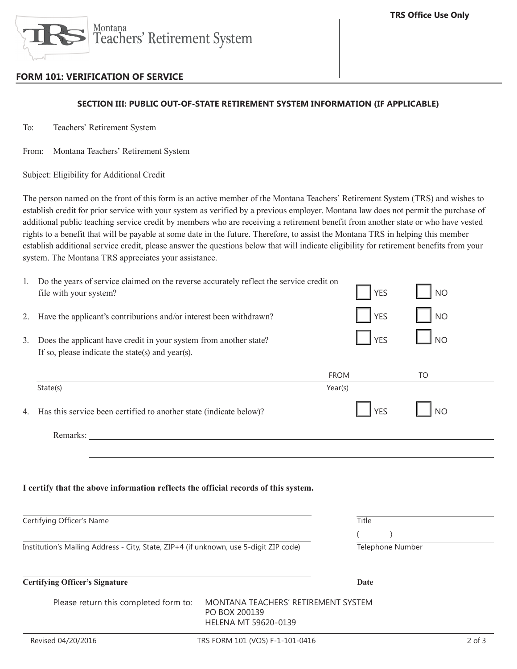

# **FORM 101: VERIFICATION OF SERVICE**

### **SECTION III: PUBLIC OUT-OF-STATE RETIREMENT SYSTEM INFORMATION (IF APPLICABLE)**

To: Teachers' Retirement System

From: Montana Teachers' Retirement System

Subject: Eligibility for Additional Credit

The person named on the front of this form is an active member of the Montana Teachers' Retirement System (TRS) and wishes to establish credit for prior service with your system as verified by a previous employer. Montana law does not permit the purchase of additional public teaching service credit by members who are receiving a retirement benefit from another state or who have vested rights to a benefit that will be payable at some date in the future. Therefore, to assist the Montana TRS in helping this member establish additional service credit, please answer the questions below that will indicate eligibility for retirement benefits from your system. The Montana TRS appreciates your assistance.

| 1. | Do the years of service claimed on the reverse accurately reflect the service credit on<br>file with your system?     |                                                                              | <b>YES</b>                | <b>NO</b> |            |
|----|-----------------------------------------------------------------------------------------------------------------------|------------------------------------------------------------------------------|---------------------------|-----------|------------|
| 2. | Have the applicant's contributions and/or interest been withdrawn?                                                    |                                                                              | <b>YES</b>                | <b>NO</b> |            |
| 3. | Does the applicant have credit in your system from another state?<br>If so, please indicate the state(s) and year(s). |                                                                              | <b>YES</b>                | <b>NO</b> |            |
|    |                                                                                                                       | <b>FROM</b>                                                                  |                           | TO        |            |
|    | State(s)                                                                                                              | Year(s)                                                                      |                           |           |            |
| 4. | Has this service been certified to another state (indicate below)?                                                    |                                                                              | <b>YES</b>                | <b>NO</b> |            |
|    |                                                                                                                       |                                                                              |                           |           |            |
|    | I certify that the above information reflects the official records of this system.                                    |                                                                              |                           |           |            |
|    | Certifying Officer's Name                                                                                             | Title                                                                        |                           |           |            |
|    |                                                                                                                       |                                                                              | $\left($<br>$\mathcal{E}$ |           |            |
|    | Institution's Mailing Address - City, State, ZIP+4 (if unknown, use 5-digit ZIP code)                                 |                                                                              | Telephone Number          |           |            |
|    | <b>Certifying Officer's Signature</b>                                                                                 |                                                                              | <b>Date</b>               |           |            |
|    | Please return this completed form to:                                                                                 | MONTANA TEACHERS' RETIREMENT SYSTEM<br>PO BOX 200139<br>HELENA MT 59620-0139 |                           |           |            |
|    | Revised 04/20/2016                                                                                                    | TRS FORM 101 (VOS) F-1-101-0416                                              |                           |           | $2$ of $3$ |